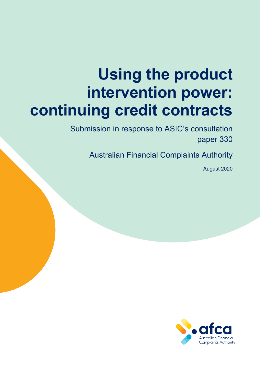# **Using the product intervention power: continuing credit contracts**

Submission in response to ASIC's consultation paper 330

Australian Financial Complaints Authority

August 2020

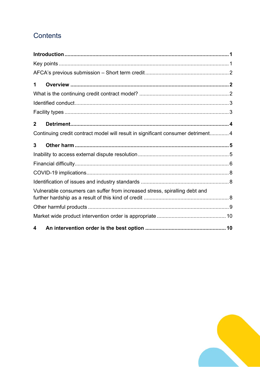## Contents

| 1                                                                                |                                                                            |
|----------------------------------------------------------------------------------|----------------------------------------------------------------------------|
|                                                                                  |                                                                            |
|                                                                                  |                                                                            |
|                                                                                  |                                                                            |
| $\overline{2}$                                                                   |                                                                            |
| Continuing credit contract model will result in significant consumer detriment 4 |                                                                            |
| 3                                                                                |                                                                            |
|                                                                                  |                                                                            |
|                                                                                  |                                                                            |
|                                                                                  |                                                                            |
|                                                                                  |                                                                            |
|                                                                                  | Vulnerable consumers can suffer from increased stress, spiralling debt and |
|                                                                                  |                                                                            |
|                                                                                  |                                                                            |
| 4                                                                                |                                                                            |

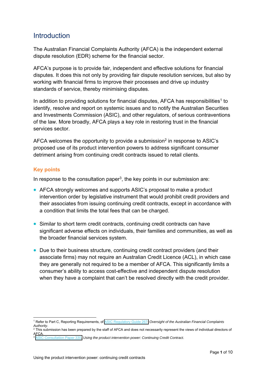## <span id="page-2-0"></span>**Introduction**

The Australian Financial Complaints Authority (AFCA) is the independent external dispute resolution (EDR) scheme for the financial sector.

AFCA's purpose is to provide fair, independent and effective solutions for financial disputes. It does this not only by providing fair dispute resolution services, but also by working with financial firms to improve their processes and drive up industry standards of service, thereby minimising disputes.

In addition to providing solutions for financial disputes, AFCA has responsibilities<sup>1</sup> to identify, resolve and report on systemic issues and to notify the Australian Securities and Investments Commission (ASIC), and other regulators, of serious contraventions of the law. More broadly, AFCA plays a key role in restoring trust in the financial services sector.

AFCA welcomes the opportunity to provide a submission<sup>2</sup> in response to ASIC's proposed use of its product intervention powers to address significant consumer detriment arising from continuing credit contracts issued to retail clients.

#### **Key points**

In response to the consultation paper<sup>3</sup>, the key points in our submission are:

- AFCA strongly welcomes and supports ASIC's proposal to make a product intervention order by legislative instrument that would prohibit credit providers and their associates from issuing continuing credit contracts, except in accordance with a condition that limits the total fees that can be charged.
- Similar to short term credit contracts, continuing credit contracts can have significant adverse effects on individuals, their families and communities, as well as the broader financial services system.
- Due to their business structure, continuing credit contract providers (and their associate firms) may not require an Australian Credit Licence (ACL), in which case they are generally not required to be a member of AFCA. This significantly limits a consumer's ability to access cost-effective and independent dispute resolution when they have a complaint that can't be resolved directly with the credit provider.

<sup>&</sup>lt;u>.</u> 1 Refer to Part C, Reporting Requirements, of [ASIC Regulatory Guide 267:](https://download.asic.gov.au/media/4773579/rg267-published-20-june-2018.pdf) *Oversight of the Australian Financial Complaints Authority*. 2 This submission has been prepared by the staff of AFCA and does not necessarily represent the views of individual directors of

AFCA.

<sup>3</sup> [ASIC Consultation Paper 330,](https://download.asic.gov.au/media/5670099/cp330-published-9-july-2020.pdf) *Using the product intervention power: Continuing Credit Contract*.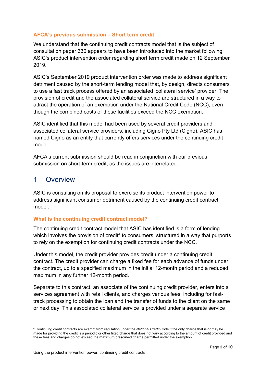#### <span id="page-3-0"></span>**AFCA's previous submission – Short term credit**

We understand that the continuing credit contracts model that is the subject of consultation paper 330 appears to have been introduced into the market following ASIC's product intervention order regarding short term credit made on 12 September 2019.

ASIC's September 2019 product intervention order was made to address significant detriment caused by the short-term lending model that, by design, directs consumers to use a fast track process offered by an associated 'collateral service' provider. The provision of credit and the associated collateral service are structured in a way to attract the operation of an exemption under the National Credit Code (NCC), even though the combined costs of these facilities exceed the NCC exemption.

ASIC identified that this model had been used by several credit providers and associated collateral service providers, including Cigno Pty Ltd (Cigno). ASIC has named Cigno as an entity that currently offers services under the continuing credit model.

AFCA's current submission should be read in conjunction with our previous submission on short-term credit, as the issues are interrelated.

## 1 Overview

ASIC is consulting on its proposal to exercise its product intervention power to address significant consumer detriment caused by the continuing credit contract model.

#### **What is the continuing credit contract model?**

The continuing credit contract model that ASIC has identified is a form of lending which involves the provision of credit<sup>4</sup> to consumers, structured in a way that purports to rely on the exemption for continuing credit contracts under the NCC.

Under this model, the credit provider provides credit under a continuing credit contract. The credit provider can charge a fixed fee for each advance of funds under the contract, up to a specified maximum in the initial 12-month period and a reduced maximum in any further 12-month period.

Separate to this contract, an associate of the continuing credit provider, enters into a services agreement with retail clients, and charges various fees, including for fasttrack processing to obtain the loan and the transfer of funds to the client on the same or next day. This associated collateral service is provided under a separate service

<sup>1</sup> 4 Continuing credit contracts are exempt from regulation under the *National Credit Code* if the only charge that is or may be made for providing the credit is a periodic or other fixed charge that does not vary according to the amount of credit provided and these fees and charges do not exceed the maximum prescribed charge permitted under the exemption.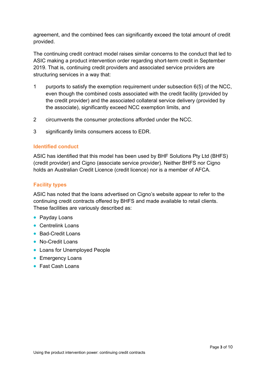<span id="page-4-0"></span>agreement, and the combined fees can significantly exceed the total amount of credit provided.

The continuing credit contract model raises similar concerns to the conduct that led to ASIC making a product intervention order regarding short-term credit in September 2019. That is, continuing credit providers and associated service providers are structuring services in a way that:

- 1 purports to satisfy the exemption requirement under subsection 6(5) of the NCC, even though the combined costs associated with the credit facility (provided by the credit provider) and the associated collateral service delivery (provided by the associate), significantly exceed NCC exemption limits, and
- 2 circumvents the consumer protections afforded under the NCC.
- 3 significantly limits consumers access to EDR.

#### **Identified conduct**

ASIC has identified that this model has been used by BHF Solutions Pty Ltd (BHFS) (credit provider) and Cigno (associate service provider). Neither BHFS nor Cigno holds an Australian Credit Licence (credit licence) nor is a member of AFCA.

#### **Facility types**

ASIC has noted that the loans advertised on Cigno's website appear to refer to the continuing credit contracts offered by BHFS and made available to retail clients. These facilities are variously described as:

- Payday Loans
- Centrelink Loans
- Bad-Credit Loans
- No-Credit Loans
- Loans for Unemployed People
- **Emergency Loans**
- Fast Cash Loans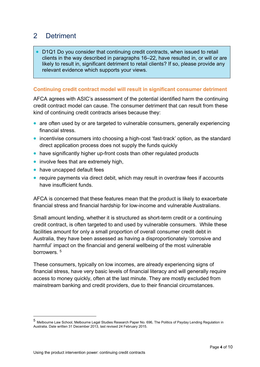## <span id="page-5-0"></span>2 Detriment

 D1Q1 Do you consider that continuing credit contracts, when issued to retail clients in the way described in paragraphs 16–22, have resulted in, or will or are likely to result in, significant detriment to retail clients? If so, please provide any relevant evidence which supports your views.

#### **Continuing credit contract model will result in significant consumer detriment**

AFCA agrees with ASIC's assessment of the potential identified harm the continuing credit contract model can cause. The consumer detriment that can result from these kind of continuing credit contracts arises because they:

- are often used by or are targeted to vulnerable consumers, generally experiencing financial stress.
- incentivise consumers into choosing a high-cost 'fast-track' option, as the standard direct application process does not supply the funds quickly
- have significantly higher up-front costs than other regulated products
- involve fees that are extremely high,
- have uncapped default fees
- require payments via direct debit, which may result in overdraw fees if accounts have insufficient funds.

AFCA is concerned that these features mean that the product is likely to exacerbate financial stress and financial hardship for low-income and vulnerable Australians.

Small amount lending, whether it is structured as short-term credit or a continuing credit contract, is often targeted to and used by vulnerable consumers. While these facilities amount for only a small proportion of overall consumer credit debt in Australia, they have been assessed as having a disproportionately 'corrosive and harmful' impact on the financial and general wellbeing of the most vulnerable borrowers. 5

These consumers, typically on low incomes, are already experiencing signs of financial stress, have very basic levels of financial literacy and will generally require access to money quickly, often at the last minute. They are mostly excluded from mainstream banking and credit providers, due to their financial circumstances.

1

<sup>5</sup> [Melbourne Law School, Melbourne Legal Studies Research Paper No. 696, The Politics of Payday Lending Regulation in](https://papers.ssrn.com/sol3/papers.cfm?abstract_id=2402514) Australia. Date written 31 December 2013, last revised 24 February 2015.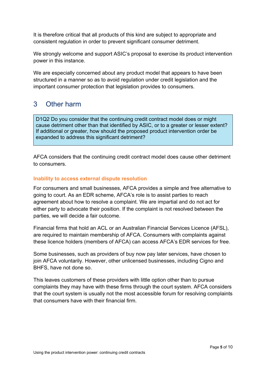<span id="page-6-0"></span>It is therefore critical that all products of this kind are subject to appropriate and consistent regulation in order to prevent significant consumer detriment.

We strongly welcome and support ASIC's proposal to exercise its product intervention power in this instance.

We are especially concerned about any product model that appears to have been structured in a manner so as to avoid regulation under credit legislation and the important consumer protection that legislation provides to consumers.

## 3 Other harm

D1Q2 Do you consider that the continuing credit contract model does or might cause detriment other than that identified by ASIC, or to a greater or lesser extent? If additional or greater, how should the proposed product intervention order be expanded to address this significant detriment?

AFCA considers that the continuing credit contract model does cause other detriment to consumers.

#### **Inability to access external dispute resolution**

For consumers and small businesses, AFCA provides a simple and free alternative to going to court. As an EDR scheme, AFCA's role is to assist parties to reach agreement about how to resolve a complaint. We are impartial and do not act for either party to advocate their position. If the complaint is not resolved between the parties, we will decide a fair outcome.

Financial firms that hold an ACL or an Australian Financial Services Licence (AFSL), are required to maintain membership of AFCA. Consumers with complaints against these licence holders (members of AFCA) can access AFCA's EDR services for free.

Some businesses, such as providers of buy now pay later services, have chosen to join AFCA voluntarily. However, other unlicensed businesses, including Cigno and BHFS, have not done so.

This leaves customers of these providers with little option other than to pursue complaints they may have with these firms through the court system. AFCA considers that the court system is usually not the most accessible forum for resolving complaints that consumers have with their financial firm.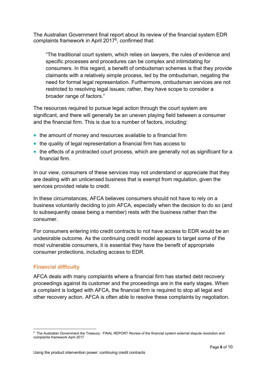<span id="page-7-0"></span>The Australian Government final report about its review of the financial system EDR complaints framework in April 20176, confirmed that:

"The traditional court system, which relies on lawyers, the rules of evidence and specific processes and procedures can be complex and intimidating for consumers. In this regard, a benefit of ombudsman schemes is that they provide claimants with a relatively simple process, led by the ombudsman, negating the need for formal legal representation. Furthermore, ombudsman services are not restricted to resolving legal issues; rather, they have scope to consider a broader range of factors."

The resources required to pursue legal action through the court system are significant, and there will generally be an uneven playing field between a consumer and the financial firm. This is due to a number of factors, including:

- the amount of money and resources available to a financial firm
- the quality of legal representation a financial firm has access to
- the effects of a protracted court process, which are generally not as significant for a financial firm.

In our view, consumers of these services may not understand or appreciate that they are dealing with an unlicensed business that is exempt from regulation, given the services provided relate to credit.

In these circumstances, AFCA believes consumers should not have to rely on a business voluntarily deciding to join AFCA, especially when the decision to do so (and to subsequently cease being a member) rests with the business rather than the consumer.

For consumers entering into credit contracts to not have access to EDR would be an undesirable outcome. As the continuing credit model appears to target some of the most vulnerable consumers, it is essential they have the benefit of appropriate consumer protections, including access to EDR.

#### **Financial difficulty**

1

AFCA deals with many complaints where a financial firm has started debt recovery proceedings against its customer and the proceedings are in the early stages. When a complaint is lodged with AFCA, the financial firm is required to stop all legal and other recovery action. AFCA is often able to resolve these complaints by negotiation.

<sup>6</sup> The Australian Government the Treasury: FINAL REPORT Review of the financial system external dispute resolution and complaints framework April 2017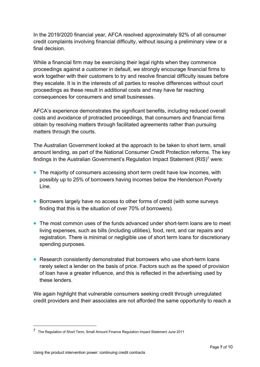<span id="page-8-0"></span>In the 2019/2020 financial year, AFCA resolved approximately 92% of all consumer credit complaints involving financial difficulty, without issuing a preliminary view or a final decision.

While a financial firm may be exercising their legal rights when they commence proceedings against a customer in default, we strongly encourage financial firms to work together with their customers to try and resolve financial difficulty issues before they escalate. It is in the interests of all parties to resolve differences without court proceedings as these result in additional costs and may have far reaching consequences for consumers and small businesses.

AFCA's experience demonstrates the significant benefits, including reduced overall costs and avoidance of protracted proceedings, that consumers and financial firms obtain by resolving matters through facilitated agreements rather than pursuing matters through the courts.

The Australian Government looked at the approach to be taken to short term, small amount lending, as part of the National Consumer Credit Protection reforms. The key findings in the Australian Government's Regulation Impact Statement (RIS)7 were:

- The majority of consumers accessing short term credit have low incomes, with possibly up to 25% of borrowers having incomes below the Henderson Poverty Line.
- Borrowers largely have no access to other forms of credit (with some surveys finding that this is the situation of over 70% of borrowers).
- The most common uses of the funds advanced under short-term loans are to meet living expenses, such as bills (including utilities), food, rent, and car repairs and registration. There is minimal or negligible use of short term loans for discretionary spending purposes.
- Research consistently demonstrated that borrowers who use short-term loans rarely select a lender on the basis of price. Factors such as the speed of provision of loan have a greater influence, and this is reflected in the advertising used by these lenders.

We again highlight that vulnerable consumers seeking credit through unregulated credit providers and their associates are not afforded the same opportunity to reach a

1

<sup>7</sup> [The Regulation of Short Term, Small Amount Finance Regulation Impact Statement June 2011](https://ris.pmc.gov.au/sites/default/files/posts/2011/09/RIS-Short-term-small-amount-finance.pdf)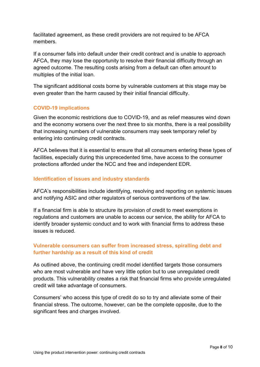<span id="page-9-0"></span>facilitated agreement, as these credit providers are not required to be AFCA members.

If a consumer falls into default under their credit contract and is unable to approach AFCA, they may lose the opportunity to resolve their financial difficulty through an agreed outcome. The resulting costs arising from a default can often amount to multiples of the initial loan.

The significant additional costs borne by vulnerable customers at this stage may be even greater than the harm caused by their initial financial difficulty.

#### **COVID-19 implications**

Given the economic restrictions due to COVID-19, and as relief measures wind down and the economy worsens over the next three to six months, there is a real possibility that increasing numbers of vulnerable consumers may seek temporary relief by entering into continuing credit contracts.

AFCA believes that it is essential to ensure that all consumers entering these types of facilities, especially during this unprecedented time, have access to the consumer protections afforded under the NCC and free and independent EDR.

#### **Identification of issues and industry standards**

AFCA's responsibilities include identifying, resolving and reporting on systemic issues and notifying ASIC and other regulators of serious contraventions of the law.

If a financial firm is able to structure its provision of credit to meet exemptions in regulations and customers are unable to access our service, the ability for AFCA to identify broader systemic conduct and to work with financial firms to address these issues is reduced.

#### **Vulnerable consumers can suffer from increased stress, spiralling debt and further hardship as a result of this kind of credit**

As outlined above, the continuing credit model identified targets those consumers who are most vulnerable and have very little option but to use unregulated credit products. This vulnerability creates a risk that financial firms who provide unregulated credit will take advantage of consumers.

Consumers' who access this type of credit do so to try and alleviate some of their financial stress. The outcome, however, can be the complete opposite, due to the significant fees and charges involved.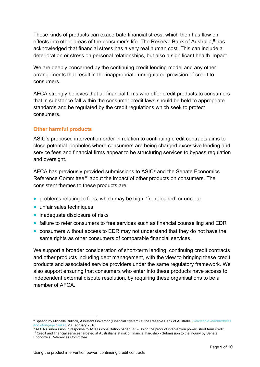<span id="page-10-0"></span>These kinds of products can exacerbate financial stress, which then has flow on effects into other areas of the consumer's life. The Reserve Bank of Australia, $8$  has acknowledged that financial stress has a very real human cost. This can include a deterioration or stress on personal relationships, but also a significant health impact.

We are deeply concerned by the continuing credit lending model and any other arrangements that result in the inappropriate unregulated provision of credit to consumers.

AFCA strongly believes that all financial firms who offer credit products to consumers that in substance fall within the consumer credit laws should be held to appropriate standards and be regulated by the credit regulations which seek to protect consumers.

#### **Other harmful products**

ASIC's proposed intervention order in relation to continuing credit contracts aims to close potential loopholes where consumers are being charged excessive lending and service fees and financial firms appear to be structuring services to bypass regulation and oversight.

AFCA has previously provided submissions to ASIC<sup>9</sup> and the Senate Economics Reference Committee<sup>10</sup> about the impact of other products on consumers. The consistent themes to these products are:

- problems relating to fees, which may be high, 'front-loaded' or unclear
- unfair sales techniques
- inadequate disclosure of risks
- failure to refer consumers to free services such as financial counselling and EDR
- consumers without access to EDR may not understand that they do not have the same rights as other consumers of comparable financial services.

We support a broader consideration of short-term lending, continuing credit contracts and other products including debt management, with the view to bringing these credit products and associated service providers under the same regulatory framework. We also support ensuring that consumers who enter into these products have access to independent external dispute resolution, by requiring these organisations to be a member of AFCA.

<sup>1</sup> 8  [Speech by Michelle Bullock, Assistant Governor \(Financial System\) at the Reserve Bank of Australia,](https://www.rba.gov.au/speeches/2018/sp-ag-2018-02-20.html) *Household Indebtedness* 

*and Mortgage Stress,* 20 February 2018 9 <sup>10</sup> Credit and financial services targeted at Australians at risk of financial hardship - Submission to the inquiry by Senate Economics References Committee